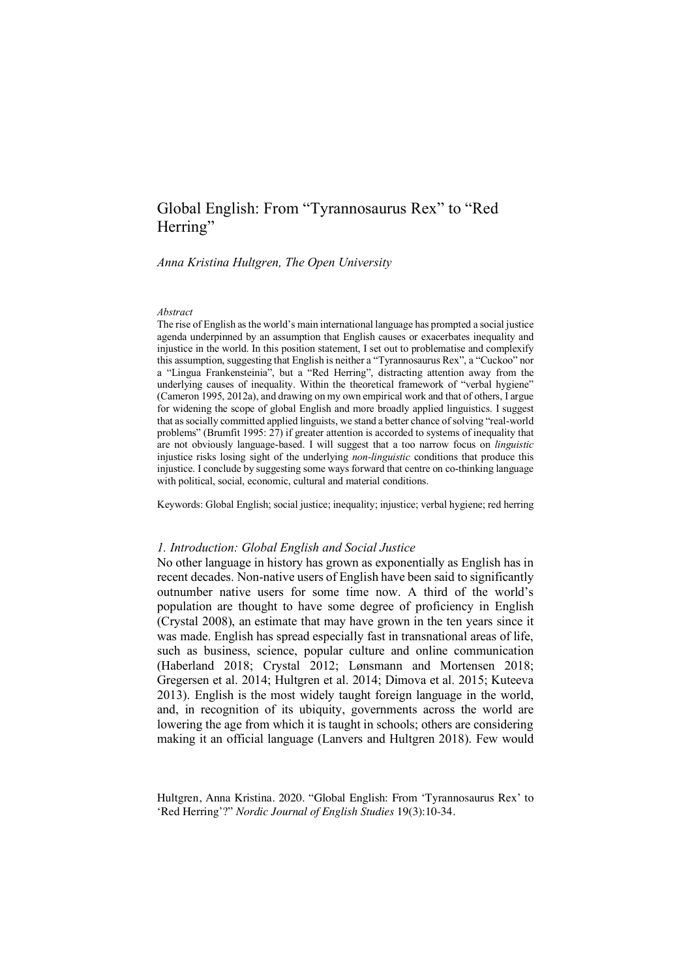# Global English: From "Tyrannosaurus Rex" to "Red Herring"

*Anna Kristina Hultgren, The Open University*

#### *Abstract*

The rise of English as the world's main international language has prompted a social justice agenda underpinned by an assumption that English causes or exacerbates inequality and injustice in the world. In this position statement, I set out to problematise and complexify this assumption, suggesting that English is neither a "Tyrannosaurus Rex", a "Cuckoo" nor a "Lingua Frankensteinia", but a "Red Herring", distracting attention away from the underlying causes of inequality. Within the theoretical framework of "verbal hygiene" (Cameron 1995, 2012a), and drawing on my own empirical work and that of others, I argue for widening the scope of global English and more broadly applied linguistics. I suggest that as socially committed applied linguists, we stand a better chance of solving "real-world problems" (Brumfit 1995: 27) if greater attention is accorded to systems of inequality that are not obviously language-based. I will suggest that a too narrow focus on *linguistic* injustice risks losing sight of the underlying *non-linguistic* conditions that produce this injustice. I conclude by suggesting some ways forward that centre on co-thinking language with political, social, economic, cultural and material conditions.

Keywords: Global English; social justice; inequality; injustice; verbal hygiene; red herring

#### *1. Introduction: Global English and Social Justice*

No other language in history has grown as exponentially as English has in recent decades. Non-native users of English have been said to significantly outnumber native users for some time now. A third of the world's population are thought to have some degree of proficiency in English (Crystal 2008), an estimate that may have grown in the ten years since it was made. English has spread especially fast in transnational areas of life, such as business, science, popular culture and online communication (Haberland 2018; Crystal 2012; Lønsmann and Mortensen 2018; Gregersen et al. 2014; Hultgren et al. 2014; Dimova et al. 2015; Kuteeva 2013). English is the most widely taught foreign language in the world, and, in recognition of its ubiquity, governments across the world are lowering the age from which it is taught in schools; others are considering making it an official language (Lanvers and Hultgren 2018). Few would

Hultgren, Anna Kristina. 2020. "Global English: From 'Tyrannosaurus Rex' to 'Red Herring'?" *Nordic Journal of English Studies* 19(3):10-34.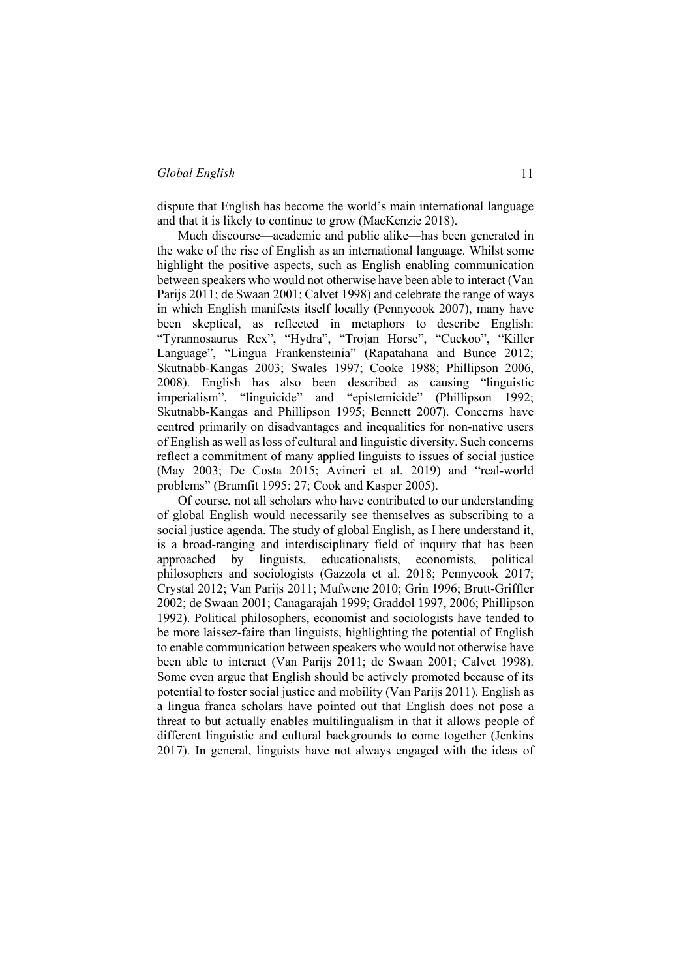dispute that English has become the world's main international language and that it is likely to continue to grow (MacKenzie 2018).

Much discourse—academic and public alike—has been generated in the wake of the rise of English as an international language. Whilst some highlight the positive aspects, such as English enabling communication between speakers who would not otherwise have been able to interact (Van Parijs 2011; de Swaan 2001; Calvet 1998) and celebrate the range of ways in which English manifests itself locally (Pennycook 2007), many have been skeptical, as reflected in metaphors to describe English: "Tyrannosaurus Rex", "Hydra", "Trojan Horse", "Cuckoo", "Killer Language", "Lingua Frankensteinia" (Rapatahana and Bunce 2012; Skutnabb-Kangas 2003; Swales 1997; Cooke 1988; Phillipson 2006, 2008). English has also been described as causing "linguistic imperialism", "linguicide" and "epistemicide" (Phillipson 1992; Skutnabb-Kangas and Phillipson 1995; Bennett 2007). Concerns have centred primarily on disadvantages and inequalities for non-native users of English as well as loss of cultural and linguistic diversity. Such concerns reflect a commitment of many applied linguists to issues of social justice (May 2003; De Costa 2015; Avineri et al. 2019) and "real-world problems" (Brumfit 1995: 27; Cook and Kasper 2005).

Of course, not all scholars who have contributed to our understanding of global English would necessarily see themselves as subscribing to a social justice agenda. The study of global English, as I here understand it, is a broad-ranging and interdisciplinary field of inquiry that has been approached by linguists, educationalists, economists, political philosophers and sociologists (Gazzola et al. 2018; Pennycook 2017; Crystal 2012; Van Parijs 2011; Mufwene 2010; Grin 1996; Brutt-Griffler 2002; de Swaan 2001; Canagarajah 1999; Graddol 1997, 2006; Phillipson 1992). Political philosophers, economist and sociologists have tended to be more laissez-faire than linguists, highlighting the potential of English to enable communication between speakers who would not otherwise have been able to interact (Van Parijs 2011; de Swaan 2001; Calvet 1998). Some even argue that English should be actively promoted because of its potential to foster social justice and mobility (Van Parijs 2011). English as a lingua franca scholars have pointed out that English does not pose a threat to but actually enables multilingualism in that it allows people of different linguistic and cultural backgrounds to come together (Jenkins 2017). In general, linguists have not always engaged with the ideas of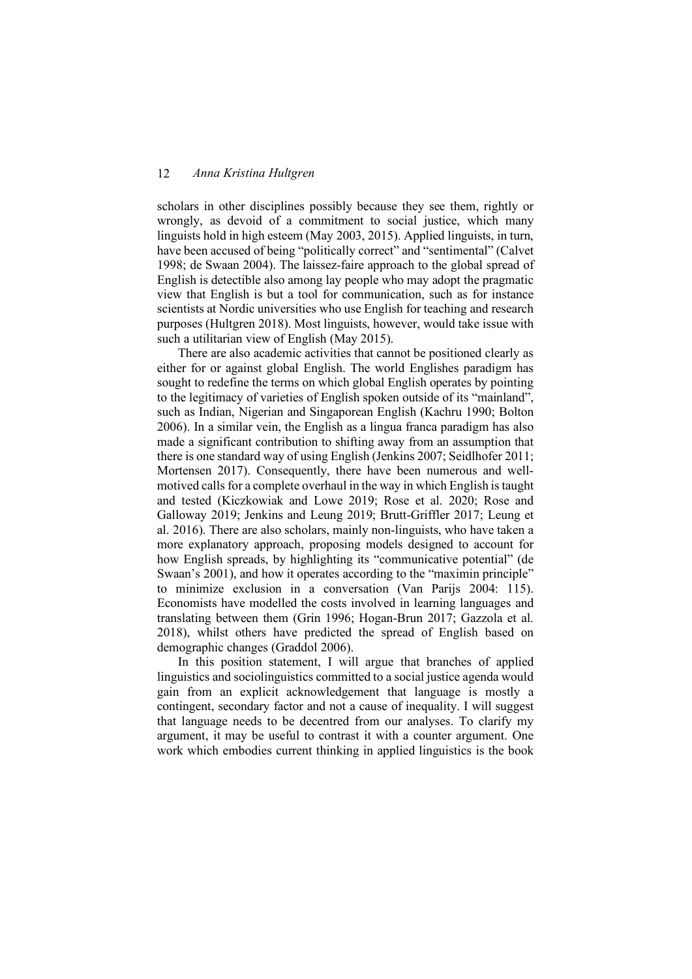scholars in other disciplines possibly because they see them, rightly or wrongly, as devoid of a commitment to social justice, which many linguists hold in high esteem (May 2003, 2015). Applied linguists, in turn, have been accused of being "politically correct" and "sentimental" (Calvet 1998; de Swaan 2004). The laissez-faire approach to the global spread of English is detectible also among lay people who may adopt the pragmatic view that English is but a tool for communication, such as for instance scientists at Nordic universities who use English for teaching and research purposes (Hultgren 2018). Most linguists, however, would take issue with such a utilitarian view of English (May 2015).

There are also academic activities that cannot be positioned clearly as either for or against global English. The world Englishes paradigm has sought to redefine the terms on which global English operates by pointing to the legitimacy of varieties of English spoken outside of its "mainland", such as Indian, Nigerian and Singaporean English (Kachru 1990; Bolton 2006). In a similar vein, the English as a lingua franca paradigm has also made a significant contribution to shifting away from an assumption that there is one standard way of using English (Jenkins 2007; Seidlhofer 2011; Mortensen 2017). Consequently, there have been numerous and wellmotived calls for a complete overhaul in the way in which English is taught and tested (Kiczkowiak and Lowe 2019; Rose et al. 2020; Rose and Galloway 2019; Jenkins and Leung 2019; Brutt-Griffler 2017; Leung et al. 2016). There are also scholars, mainly non-linguists, who have taken a more explanatory approach, proposing models designed to account for how English spreads, by highlighting its "communicative potential" (de Swaan's 2001), and how it operates according to the "maximin principle" to minimize exclusion in a conversation (Van Parijs 2004: 115). Economists have modelled the costs involved in learning languages and translating between them (Grin 1996; Hogan-Brun 2017; Gazzola et al. 2018), whilst others have predicted the spread of English based on demographic changes (Graddol 2006).

In this position statement, I will argue that branches of applied linguistics and sociolinguistics committed to a social justice agenda would gain from an explicit acknowledgement that language is mostly a contingent, secondary factor and not a cause of inequality. I will suggest that language needs to be decentred from our analyses. To clarify my argument, it may be useful to contrast it with a counter argument. One work which embodies current thinking in applied linguistics is the book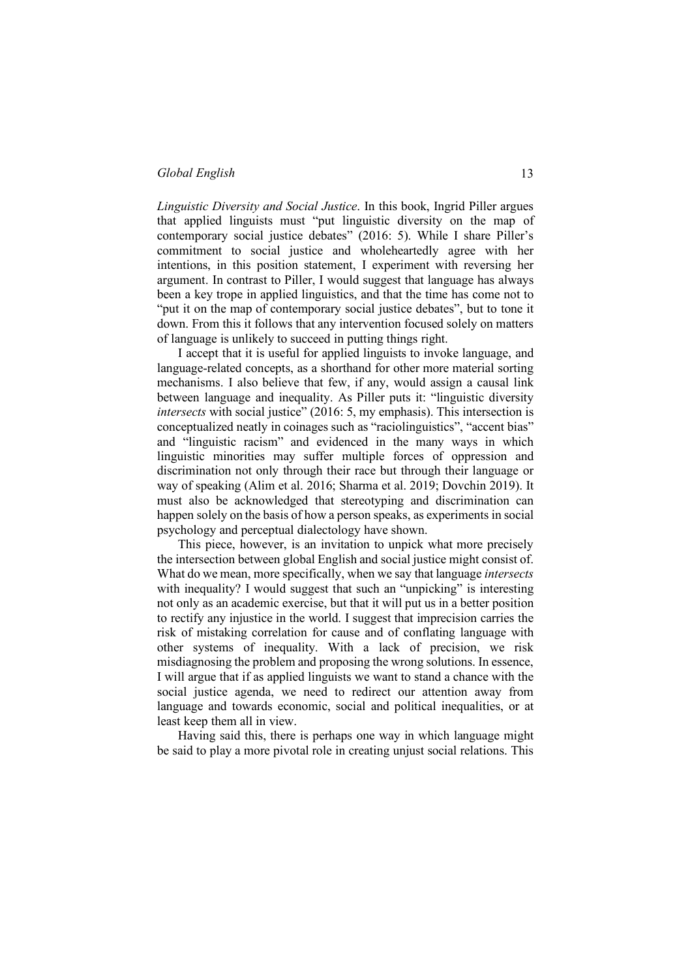*Linguistic Diversity and Social Justice*. In this book, Ingrid Piller argues that applied linguists must "put linguistic diversity on the map of contemporary social justice debates" (2016: 5). While I share Piller's commitment to social justice and wholeheartedly agree with her intentions, in this position statement, I experiment with reversing her argument. In contrast to Piller, I would suggest that language has always been a key trope in applied linguistics, and that the time has come not to "put it on the map of contemporary social justice debates", but to tone it down. From this it follows that any intervention focused solely on matters of language is unlikely to succeed in putting things right.

I accept that it is useful for applied linguists to invoke language, and language-related concepts, as a shorthand for other more material sorting mechanisms. I also believe that few, if any, would assign a causal link between language and inequality. As Piller puts it: "linguistic diversity *intersects* with social justice" (2016: 5, my emphasis). This intersection is conceptualized neatly in coinages such as "raciolinguistics", "accent bias" and "linguistic racism" and evidenced in the many ways in which linguistic minorities may suffer multiple forces of oppression and discrimination not only through their race but through their language or way of speaking (Alim et al. 2016; Sharma et al. 2019; Dovchin 2019). It must also be acknowledged that stereotyping and discrimination can happen solely on the basis of how a person speaks, as experiments in social psychology and perceptual dialectology have shown.

This piece, however, is an invitation to unpick what more precisely the intersection between global English and social justice might consist of. What do we mean, more specifically, when we say that language *intersects* with inequality? I would suggest that such an "unpicking" is interesting not only as an academic exercise, but that it will put us in a better position to rectify any injustice in the world. I suggest that imprecision carries the risk of mistaking correlation for cause and of conflating language with other systems of inequality. With a lack of precision, we risk misdiagnosing the problem and proposing the wrong solutions. In essence, I will argue that if as applied linguists we want to stand a chance with the social justice agenda, we need to redirect our attention away from language and towards economic, social and political inequalities, or at least keep them all in view.

Having said this, there is perhaps one way in which language might be said to play a more pivotal role in creating unjust social relations. This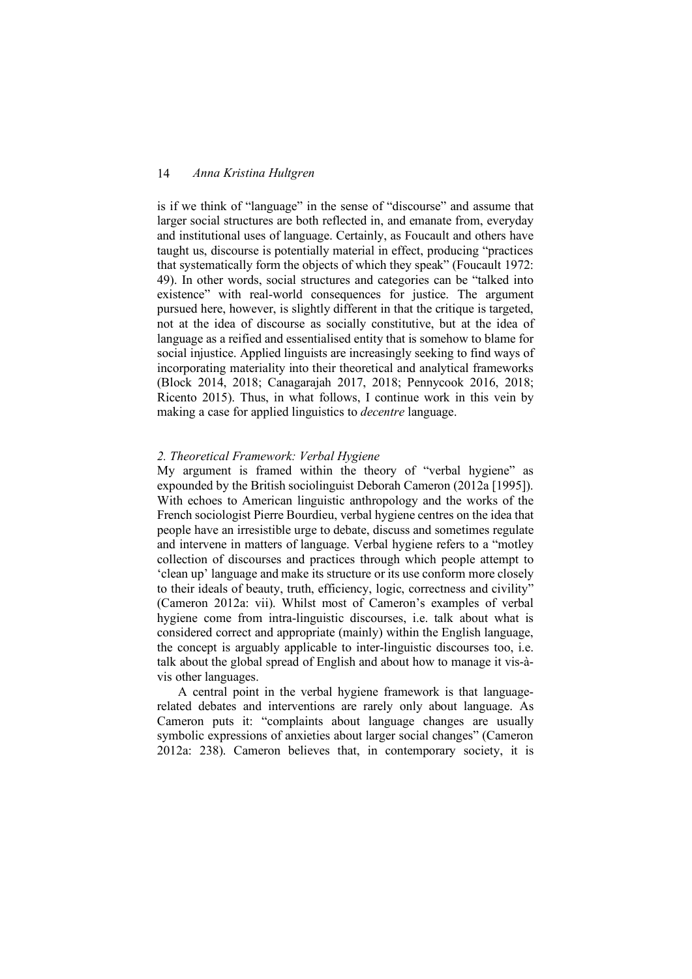is if we think of "language" in the sense of "discourse" and assume that larger social structures are both reflected in, and emanate from, everyday and institutional uses of language. Certainly, as Foucault and others have taught us, discourse is potentially material in effect, producing "practices that systematically form the objects of which they speak" (Foucault 1972: 49). In other words, social structures and categories can be "talked into existence" with real-world consequences for justice. The argument pursued here, however, is slightly different in that the critique is targeted, not at the idea of discourse as socially constitutive, but at the idea of language as a reified and essentialised entity that is somehow to blame for social injustice. Applied linguists are increasingly seeking to find ways of incorporating materiality into their theoretical and analytical frameworks (Block 2014, 2018; Canagarajah 2017, 2018; Pennycook 2016, 2018; Ricento 2015). Thus, in what follows, I continue work in this vein by making a case for applied linguistics to *decentre* language.

#### *2. Theoretical Framework: Verbal Hygiene*

My argument is framed within the theory of "verbal hygiene" as expounded by the British sociolinguist Deborah Cameron (2012a [1995]). With echoes to American linguistic anthropology and the works of the French sociologist Pierre Bourdieu, verbal hygiene centres on the idea that people have an irresistible urge to debate, discuss and sometimes regulate and intervene in matters of language. Verbal hygiene refers to a "motley collection of discourses and practices through which people attempt to 'clean up' language and make its structure or its use conform more closely to their ideals of beauty, truth, efficiency, logic, correctness and civility" (Cameron 2012a: vii). Whilst most of Cameron's examples of verbal hygiene come from intra-linguistic discourses, i.e. talk about what is considered correct and appropriate (mainly) within the English language, the concept is arguably applicable to inter-linguistic discourses too, i.e. talk about the global spread of English and about how to manage it vis-àvis other languages.

A central point in the verbal hygiene framework is that languagerelated debates and interventions are rarely only about language. As Cameron puts it: "complaints about language changes are usually symbolic expressions of anxieties about larger social changes" (Cameron 2012a: 238). Cameron believes that, in contemporary society, it is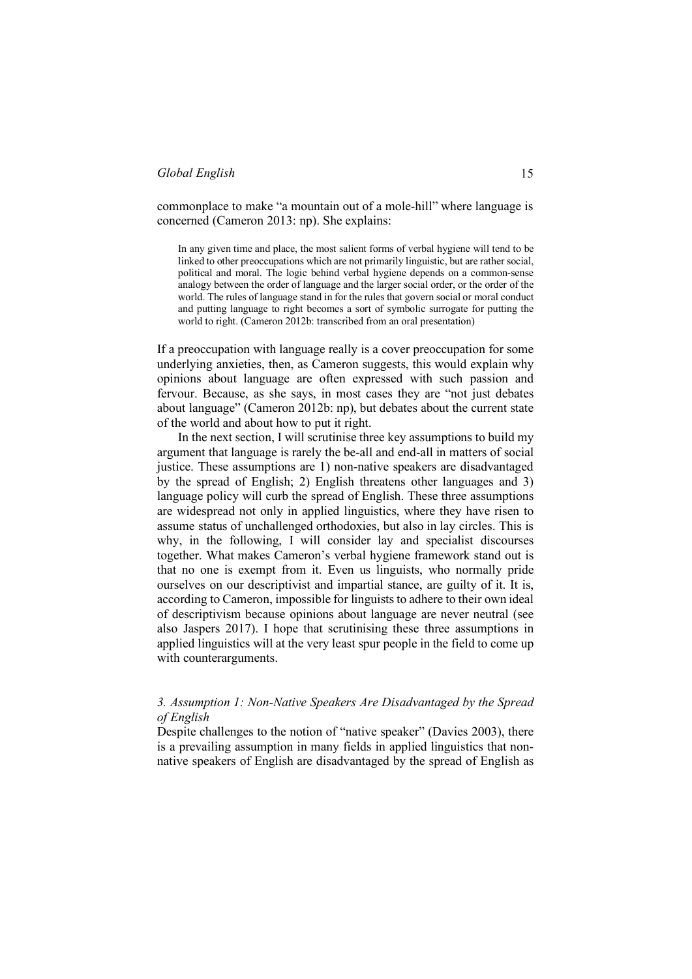commonplace to make "a mountain out of a mole-hill" where language is concerned (Cameron 2013: np). She explains:

In any given time and place, the most salient forms of verbal hygiene will tend to be linked to other preoccupations which are not primarily linguistic, but are rather social, political and moral. The logic behind verbal hygiene depends on a common-sense analogy between the order of language and the larger social order, or the order of the world. The rules of language stand in for the rules that govern social or moral conduct and putting language to right becomes a sort of symbolic surrogate for putting the world to right. (Cameron 2012b: transcribed from an oral presentation)

If a preoccupation with language really is a cover preoccupation for some underlying anxieties, then, as Cameron suggests, this would explain why opinions about language are often expressed with such passion and fervour. Because, as she says, in most cases they are "not just debates about language" (Cameron 2012b: np), but debates about the current state of the world and about how to put it right.

In the next section, I will scrutinise three key assumptions to build my argument that language is rarely the be-all and end-all in matters of social justice. These assumptions are 1) non-native speakers are disadvantaged by the spread of English; 2) English threatens other languages and 3) language policy will curb the spread of English. These three assumptions are widespread not only in applied linguistics, where they have risen to assume status of unchallenged orthodoxies, but also in lay circles. This is why, in the following, I will consider lay and specialist discourses together. What makes Cameron's verbal hygiene framework stand out is that no one is exempt from it. Even us linguists, who normally pride ourselves on our descriptivist and impartial stance, are guilty of it. It is, according to Cameron, impossible for linguists to adhere to their own ideal of descriptivism because opinions about language are never neutral (see also Jaspers 2017). I hope that scrutinising these three assumptions in applied linguistics will at the very least spur people in the field to come up with counterarguments.

# *3. Assumption 1: Non-Native Speakers Are Disadvantaged by the Spread of English*

Despite challenges to the notion of "native speaker" (Davies 2003), there is a prevailing assumption in many fields in applied linguistics that nonnative speakers of English are disadvantaged by the spread of English as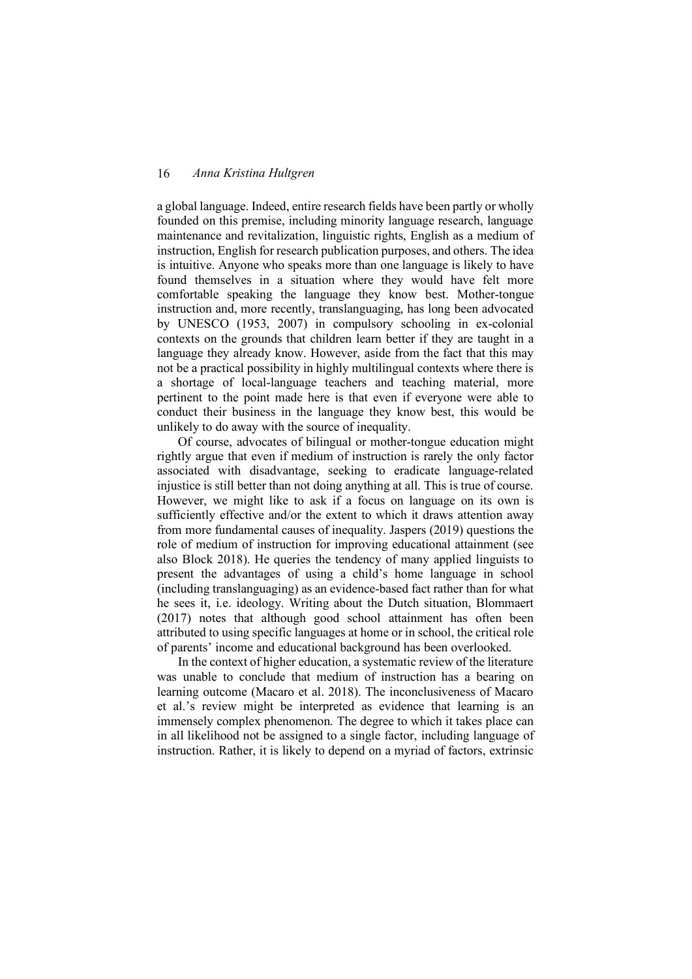a global language. Indeed, entire research fields have been partly or wholly founded on this premise, including minority language research, language maintenance and revitalization, linguistic rights, English as a medium of instruction, English for research publication purposes, and others. The idea is intuitive. Anyone who speaks more than one language is likely to have found themselves in a situation where they would have felt more comfortable speaking the language they know best. Mother-tongue instruction and, more recently, translanguaging, has long been advocated by UNESCO (1953, 2007) in compulsory schooling in ex-colonial contexts on the grounds that children learn better if they are taught in a language they already know. However, aside from the fact that this may not be a practical possibility in highly multilingual contexts where there is a shortage of local-language teachers and teaching material, more pertinent to the point made here is that even if everyone were able to conduct their business in the language they know best, this would be unlikely to do away with the source of inequality.

Of course, advocates of bilingual or mother-tongue education might rightly argue that even if medium of instruction is rarely the only factor associated with disadvantage, seeking to eradicate language-related injustice is still better than not doing anything at all. This is true of course. However, we might like to ask if a focus on language on its own is sufficiently effective and/or the extent to which it draws attention away from more fundamental causes of inequality. Jaspers (2019) questions the role of medium of instruction for improving educational attainment (see also Block 2018). He queries the tendency of many applied linguists to present the advantages of using a child's home language in school (including translanguaging) as an evidence-based fact rather than for what he sees it, i.e. ideology. Writing about the Dutch situation, Blommaert (2017) notes that although good school attainment has often been attributed to using specific languages at home or in school, the critical role of parents' income and educational background has been overlooked.

In the context of higher education, a systematic review of the literature was unable to conclude that medium of instruction has a bearing on learning outcome (Macaro et al. 2018). The inconclusiveness of Macaro et al.'s review might be interpreted as evidence that learning is an immensely complex phenomenon. The degree to which it takes place can in all likelihood not be assigned to a single factor, including language of instruction. Rather, it is likely to depend on a myriad of factors, extrinsic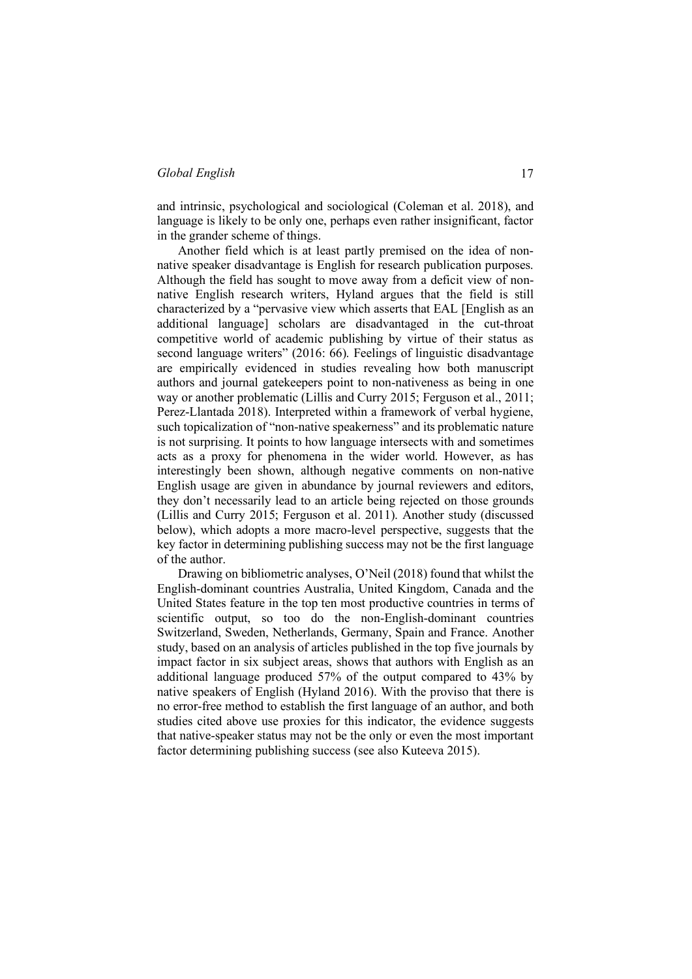and intrinsic, psychological and sociological (Coleman et al. 2018), and language is likely to be only one, perhaps even rather insignificant, factor in the grander scheme of things.

Another field which is at least partly premised on the idea of nonnative speaker disadvantage is English for research publication purposes. Although the field has sought to move away from a deficit view of nonnative English research writers, Hyland argues that the field is still characterized by a "pervasive view which asserts that EAL [English as an additional language] scholars are disadvantaged in the cut-throat competitive world of academic publishing by virtue of their status as second language writers" (2016: 66). Feelings of linguistic disadvantage are empirically evidenced in studies revealing how both manuscript authors and journal gatekeepers point to non-nativeness as being in one way or another problematic (Lillis and Curry 2015; Ferguson et al., 2011; Perez-Llantada 2018). Interpreted within a framework of verbal hygiene, such topicalization of "non-native speakerness" and its problematic nature is not surprising. It points to how language intersects with and sometimes acts as a proxy for phenomena in the wider world. However, as has interestingly been shown, although negative comments on non-native English usage are given in abundance by journal reviewers and editors, they don't necessarily lead to an article being rejected on those grounds (Lillis and Curry 2015; Ferguson et al. 2011). Another study (discussed below), which adopts a more macro-level perspective, suggests that the key factor in determining publishing success may not be the first language of the author.

Drawing on bibliometric analyses, O'Neil (2018) found that whilst the English-dominant countries Australia, United Kingdom, Canada and the United States feature in the top ten most productive countries in terms of scientific output, so too do the non-English-dominant countries Switzerland, Sweden, Netherlands, Germany, Spain and France. Another study, based on an analysis of articles published in the top five journals by impact factor in six subject areas, shows that authors with English as an additional language produced 57% of the output compared to 43% by native speakers of English (Hyland 2016). With the proviso that there is no error-free method to establish the first language of an author, and both studies cited above use proxies for this indicator, the evidence suggests that native-speaker status may not be the only or even the most important factor determining publishing success (see also Kuteeva 2015).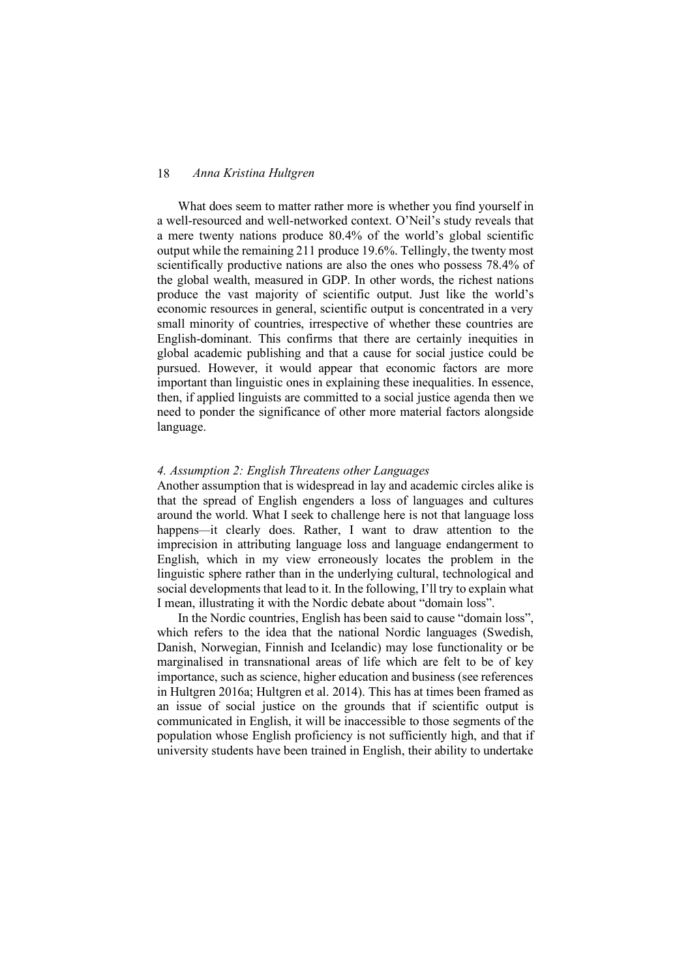What does seem to matter rather more is whether you find yourself in a well-resourced and well-networked context. O'Neil's study reveals that a mere twenty nations produce 80.4% of the world's global scientific output while the remaining 211 produce 19.6%. Tellingly, the twenty most scientifically productive nations are also the ones who possess 78.4% of the global wealth, measured in GDP. In other words, the richest nations produce the vast majority of scientific output. Just like the world's economic resources in general, scientific output is concentrated in a very small minority of countries, irrespective of whether these countries are English-dominant. This confirms that there are certainly inequities in global academic publishing and that a cause for social justice could be pursued. However, it would appear that economic factors are more important than linguistic ones in explaining these inequalities. In essence, then, if applied linguists are committed to a social justice agenda then we need to ponder the significance of other more material factors alongside language.

#### *4. Assumption 2: English Threatens other Languages*

Another assumption that is widespread in lay and academic circles alike is that the spread of English engenders a loss of languages and cultures around the world. What I seek to challenge here is not that language loss happens—it clearly does. Rather, I want to draw attention to the imprecision in attributing language loss and language endangerment to English, which in my view erroneously locates the problem in the linguistic sphere rather than in the underlying cultural, technological and social developments that lead to it. In the following, I'll try to explain what I mean, illustrating it with the Nordic debate about "domain loss".

In the Nordic countries, English has been said to cause "domain loss", which refers to the idea that the national Nordic languages (Swedish, Danish, Norwegian, Finnish and Icelandic) may lose functionality or be marginalised in transnational areas of life which are felt to be of key importance, such as science, higher education and business (see references in Hultgren 2016a; Hultgren et al. 2014). This has at times been framed as an issue of social justice on the grounds that if scientific output is communicated in English, it will be inaccessible to those segments of the population whose English proficiency is not sufficiently high, and that if university students have been trained in English, their ability to undertake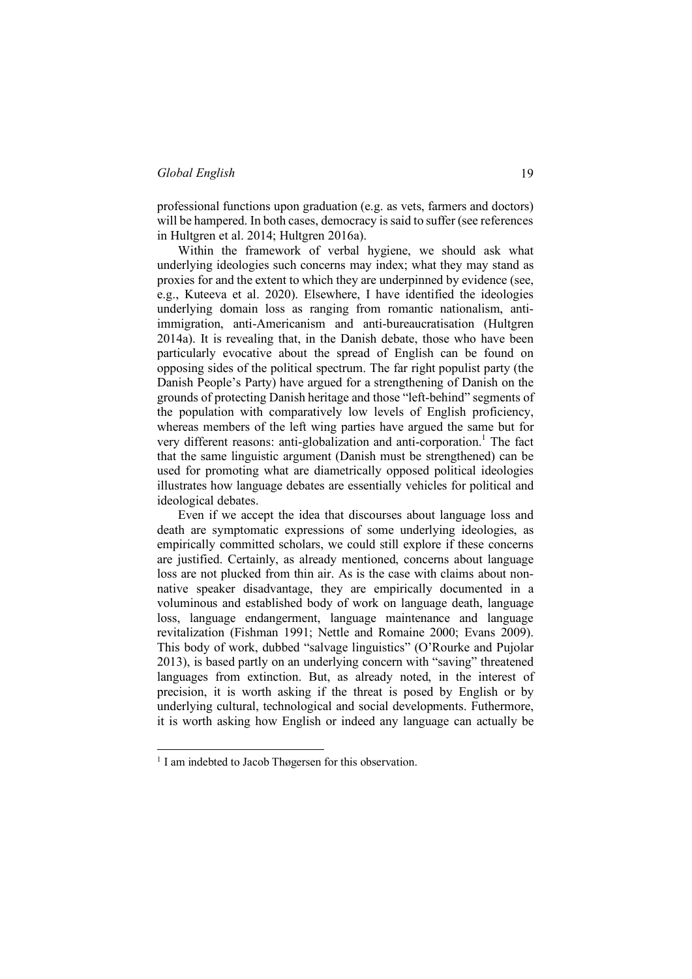professional functions upon graduation (e.g. as vets, farmers and doctors) will be hampered. In both cases, democracy is said to suffer (see references in Hultgren et al. 2014; Hultgren 2016a).

Within the framework of verbal hygiene, we should ask what underlying ideologies such concerns may index; what they may stand as proxies for and the extent to which they are underpinned by evidence (see, e.g., Kuteeva et al. 2020). Elsewhere, I have identified the ideologies underlying domain loss as ranging from romantic nationalism, antiimmigration, anti-Americanism and anti-bureaucratisation (Hultgren 2014a). It is revealing that, in the Danish debate, those who have been particularly evocative about the spread of English can be found on opposing sides of the political spectrum. The far right populist party (the Danish People's Party) have argued for a strengthening of Danish on the grounds of protecting Danish heritage and those "left-behind" segments of the population with comparatively low levels of English proficiency, whereas members of the left wing parties have argued the same but for very different reasons: anti-globalization and anti-corporation. <sup>1</sup> The fact that the same linguistic argument (Danish must be strengthened) can be used for promoting what are diametrically opposed political ideologies illustrates how language debates are essentially vehicles for political and ideological debates.

Even if we accept the idea that discourses about language loss and death are symptomatic expressions of some underlying ideologies, as empirically committed scholars, we could still explore if these concerns are justified. Certainly, as already mentioned, concerns about language loss are not plucked from thin air. As is the case with claims about nonnative speaker disadvantage, they are empirically documented in a voluminous and established body of work on language death, language loss, language endangerment, language maintenance and language revitalization (Fishman 1991; Nettle and Romaine 2000; Evans 2009). This body of work, dubbed "salvage linguistics" (O'Rourke and Pujolar 2013), is based partly on an underlying concern with "saving" threatened languages from extinction. But, as already noted, in the interest of precision, it is worth asking if the threat is posed by English or by underlying cultural, technological and social developments. Futhermore, it is worth asking how English or indeed any language can actually be

<sup>&</sup>lt;sup>1</sup> I am indebted to Jacob Thøgersen for this observation.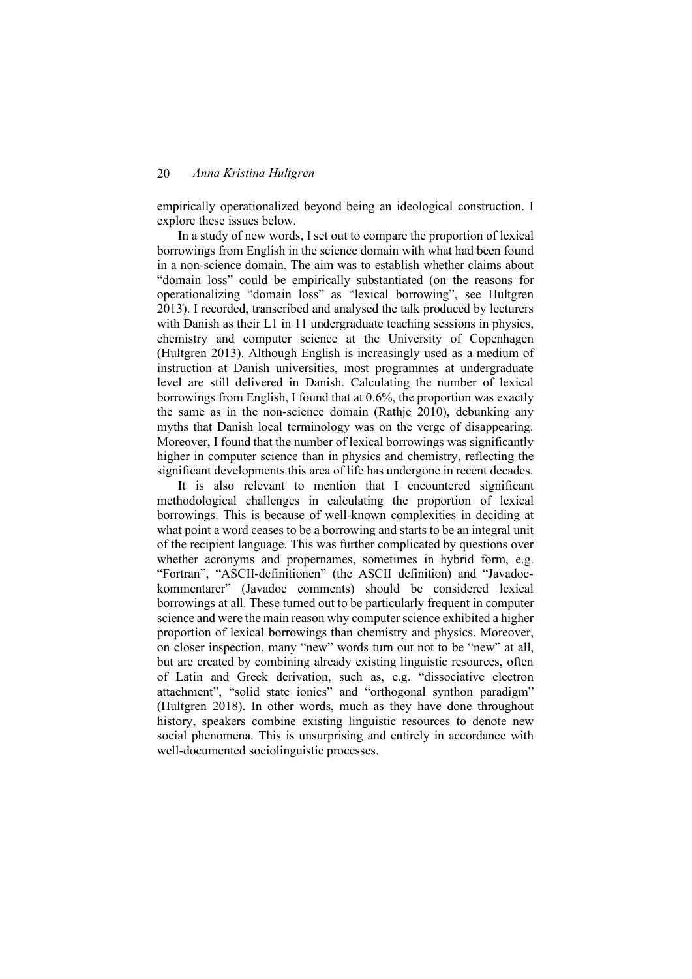empirically operationalized beyond being an ideological construction. I explore these issues below.

In a study of new words, I set out to compare the proportion of lexical borrowings from English in the science domain with what had been found in a non-science domain. The aim was to establish whether claims about "domain loss" could be empirically substantiated (on the reasons for operationalizing "domain loss" as "lexical borrowing", see Hultgren 2013). I recorded, transcribed and analysed the talk produced by lecturers with Danish as their L1 in 11 undergraduate teaching sessions in physics, chemistry and computer science at the University of Copenhagen (Hultgren 2013). Although English is increasingly used as a medium of instruction at Danish universities, most programmes at undergraduate level are still delivered in Danish. Calculating the number of lexical borrowings from English, I found that at 0.6%, the proportion was exactly the same as in the non-science domain (Rathje 2010), debunking any myths that Danish local terminology was on the verge of disappearing. Moreover, I found that the number of lexical borrowings was significantly higher in computer science than in physics and chemistry, reflecting the significant developments this area of life has undergone in recent decades.

It is also relevant to mention that I encountered significant methodological challenges in calculating the proportion of lexical borrowings. This is because of well-known complexities in deciding at what point a word ceases to be a borrowing and starts to be an integral unit of the recipient language. This was further complicated by questions over whether acronyms and propernames, sometimes in hybrid form, e.g. "Fortran", "ASCII-definitionen" (the ASCII definition) and "Javadockommentarer" (Javadoc comments) should be considered lexical borrowings at all. These turned out to be particularly frequent in computer science and were the main reason why computer science exhibited a higher proportion of lexical borrowings than chemistry and physics. Moreover, on closer inspection, many "new" words turn out not to be "new" at all, but are created by combining already existing linguistic resources, often of Latin and Greek derivation, such as, e.g. "dissociative electron attachment", "solid state ionics" and "orthogonal synthon paradigm" (Hultgren 2018). In other words, much as they have done throughout history, speakers combine existing linguistic resources to denote new social phenomena. This is unsurprising and entirely in accordance with well-documented sociolinguistic processes.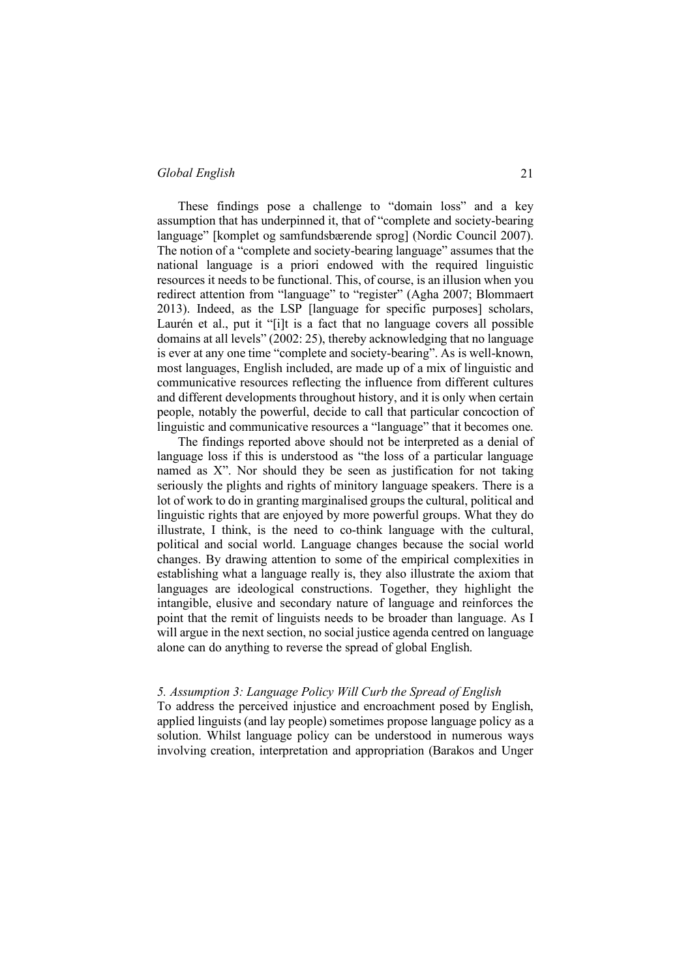These findings pose a challenge to "domain loss" and a key assumption that has underpinned it, that of "complete and society-bearing language" [komplet og samfundsbærende sprog] (Nordic Council 2007). The notion of a "complete and society-bearing language" assumes that the national language is a priori endowed with the required linguistic resources it needs to be functional. This, of course, is an illusion when you redirect attention from "language" to "register" (Agha 2007; Blommaert 2013). Indeed, as the LSP [language for specific purposes] scholars, Laurén et al., put it "[i]t is a fact that no language covers all possible domains at all levels" (2002: 25), thereby acknowledging that no language is ever at any one time "complete and society-bearing". As is well-known, most languages, English included, are made up of a mix of linguistic and communicative resources reflecting the influence from different cultures and different developments throughout history, and it is only when certain people, notably the powerful, decide to call that particular concoction of linguistic and communicative resources a "language" that it becomes one.

The findings reported above should not be interpreted as a denial of language loss if this is understood as "the loss of a particular language named as X". Nor should they be seen as justification for not taking seriously the plights and rights of minitory language speakers. There is a lot of work to do in granting marginalised groups the cultural, political and linguistic rights that are enjoyed by more powerful groups. What they do illustrate, I think, is the need to co-think language with the cultural, political and social world. Language changes because the social world changes. By drawing attention to some of the empirical complexities in establishing what a language really is, they also illustrate the axiom that languages are ideological constructions. Together, they highlight the intangible, elusive and secondary nature of language and reinforces the point that the remit of linguists needs to be broader than language. As I will argue in the next section, no social justice agenda centred on language alone can do anything to reverse the spread of global English.

#### *5. Assumption 3: Language Policy Will Curb the Spread of English*

To address the perceived injustice and encroachment posed by English, applied linguists (and lay people) sometimes propose language policy as a solution. Whilst language policy can be understood in numerous ways involving creation, interpretation and appropriation (Barakos and Unger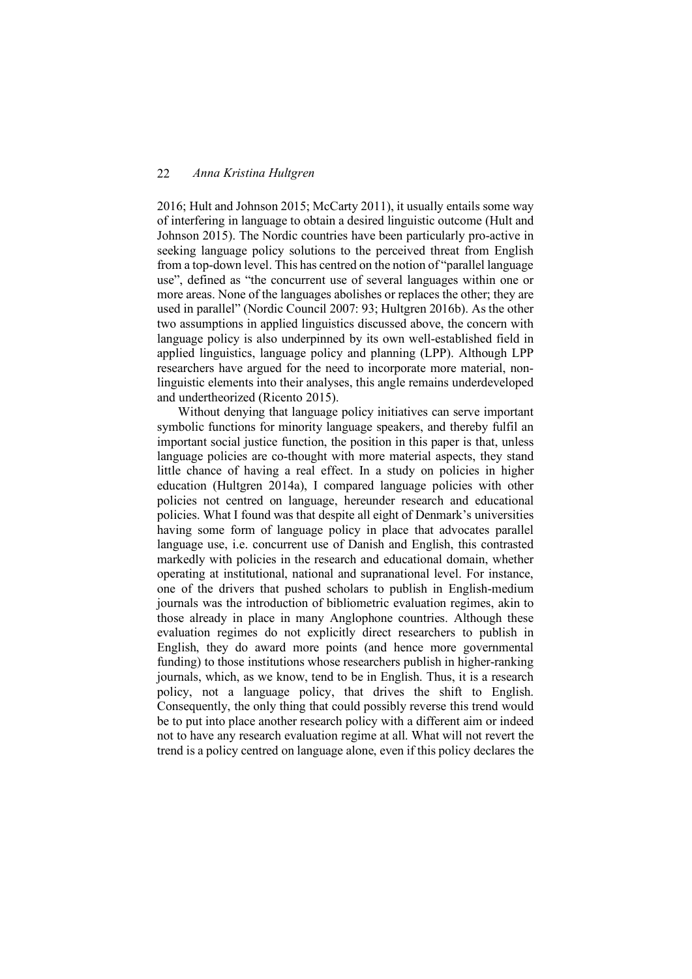2016; Hult and Johnson 2015; McCarty 2011), it usually entails some way of interfering in language to obtain a desired linguistic outcome (Hult and Johnson 2015). The Nordic countries have been particularly pro-active in seeking language policy solutions to the perceived threat from English from a top-down level. This has centred on the notion of "parallel language use", defined as "the concurrent use of several languages within one or more areas. None of the languages abolishes or replaces the other; they are used in parallel" (Nordic Council 2007: 93; Hultgren 2016b). As the other two assumptions in applied linguistics discussed above, the concern with language policy is also underpinned by its own well-established field in applied linguistics, language policy and planning (LPP). Although LPP researchers have argued for the need to incorporate more material, nonlinguistic elements into their analyses, this angle remains underdeveloped and undertheorized (Ricento 2015).

Without denying that language policy initiatives can serve important symbolic functions for minority language speakers, and thereby fulfil an important social justice function, the position in this paper is that, unless language policies are co-thought with more material aspects, they stand little chance of having a real effect. In a study on policies in higher education (Hultgren 2014a), I compared language policies with other policies not centred on language, hereunder research and educational policies. What I found was that despite all eight of Denmark's universities having some form of language policy in place that advocates parallel language use, i.e. concurrent use of Danish and English, this contrasted markedly with policies in the research and educational domain, whether operating at institutional, national and supranational level. For instance, one of the drivers that pushed scholars to publish in English-medium journals was the introduction of bibliometric evaluation regimes, akin to those already in place in many Anglophone countries. Although these evaluation regimes do not explicitly direct researchers to publish in English, they do award more points (and hence more governmental funding) to those institutions whose researchers publish in higher-ranking journals, which, as we know, tend to be in English. Thus, it is a research policy, not a language policy, that drives the shift to English. Consequently, the only thing that could possibly reverse this trend would be to put into place another research policy with a different aim or indeed not to have any research evaluation regime at all. What will not revert the trend is a policy centred on language alone, even if this policy declares the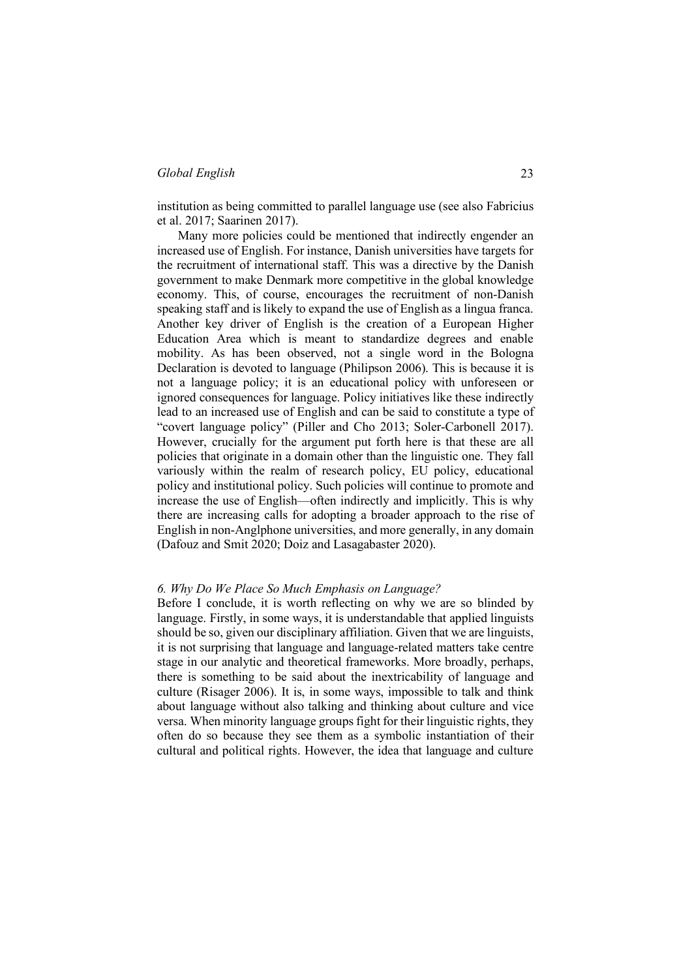institution as being committed to parallel language use (see also Fabricius et al. 2017; Saarinen 2017).

Many more policies could be mentioned that indirectly engender an increased use of English. For instance, Danish universities have targets for the recruitment of international staff. This was a directive by the Danish government to make Denmark more competitive in the global knowledge economy. This, of course, encourages the recruitment of non-Danish speaking staff and is likely to expand the use of English as a lingua franca. Another key driver of English is the creation of a European Higher Education Area which is meant to standardize degrees and enable mobility. As has been observed, not a single word in the Bologna Declaration is devoted to language (Philipson 2006). This is because it is not a language policy; it is an educational policy with unforeseen or ignored consequences for language. Policy initiatives like these indirectly lead to an increased use of English and can be said to constitute a type of "covert language policy" (Piller and Cho 2013; Soler-Carbonell 2017). However, crucially for the argument put forth here is that these are all policies that originate in a domain other than the linguistic one. They fall variously within the realm of research policy, EU policy, educational policy and institutional policy. Such policies will continue to promote and increase the use of English—often indirectly and implicitly. This is why there are increasing calls for adopting a broader approach to the rise of English in non-Anglphone universities, and more generally, in any domain (Dafouz and Smit 2020; Doiz and Lasagabaster 2020).

#### *6. Why Do We Place So Much Emphasis on Language?*

Before I conclude, it is worth reflecting on why we are so blinded by language. Firstly, in some ways, it is understandable that applied linguists should be so, given our disciplinary affiliation. Given that we are linguists, it is not surprising that language and language-related matters take centre stage in our analytic and theoretical frameworks. More broadly, perhaps, there is something to be said about the inextricability of language and culture (Risager 2006). It is, in some ways, impossible to talk and think about language without also talking and thinking about culture and vice versa. When minority language groups fight for their linguistic rights, they often do so because they see them as a symbolic instantiation of their cultural and political rights. However, the idea that language and culture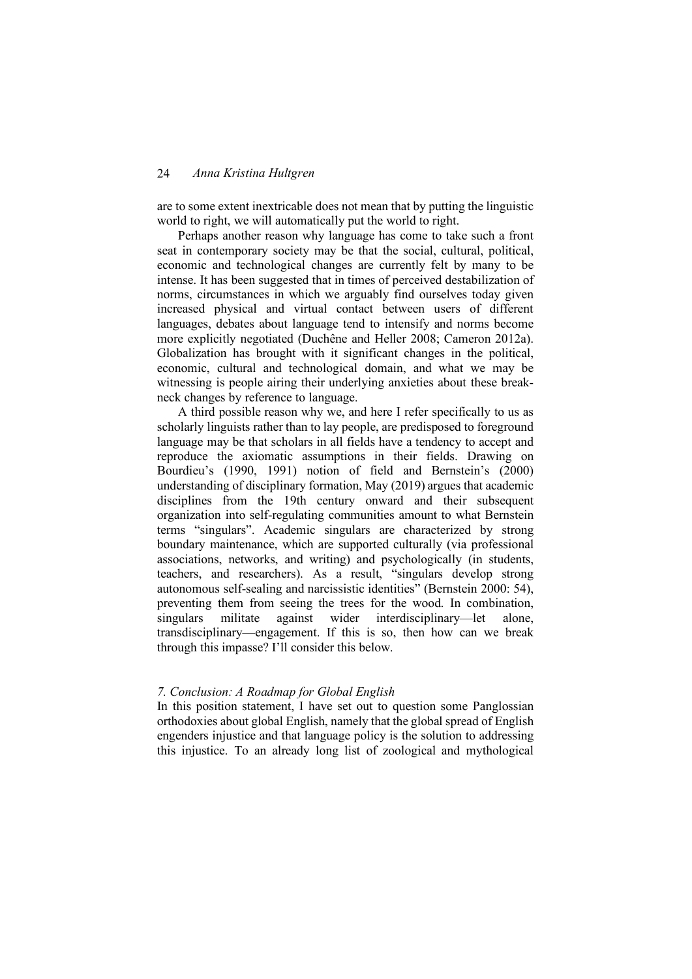are to some extent inextricable does not mean that by putting the linguistic world to right, we will automatically put the world to right.

Perhaps another reason why language has come to take such a front seat in contemporary society may be that the social, cultural, political, economic and technological changes are currently felt by many to be intense. It has been suggested that in times of perceived destabilization of norms, circumstances in which we arguably find ourselves today given increased physical and virtual contact between users of different languages, debates about language tend to intensify and norms become more explicitly negotiated (Duchêne and Heller 2008; Cameron 2012a). Globalization has brought with it significant changes in the political, economic, cultural and technological domain, and what we may be witnessing is people airing their underlying anxieties about these breakneck changes by reference to language.

A third possible reason why we, and here I refer specifically to us as scholarly linguists rather than to lay people, are predisposed to foreground language may be that scholars in all fields have a tendency to accept and reproduce the axiomatic assumptions in their fields. Drawing on Bourdieu's (1990, 1991) notion of field and Bernstein's (2000) understanding of disciplinary formation, May (2019) argues that academic disciplines from the 19th century onward and their subsequent organization into self-regulating communities amount to what Bernstein terms "singulars". Academic singulars are characterized by strong boundary maintenance, which are supported culturally (via professional associations, networks, and writing) and psychologically (in students, teachers, and researchers). As a result, "singulars develop strong autonomous self-sealing and narcissistic identities" (Bernstein 2000: 54), preventing them from seeing the trees for the wood. In combination, singulars militate against wider interdisciplinary—let alone, transdisciplinary—engagement. If this is so, then how can we break through this impasse? I'll consider this below.

## *7. Conclusion: A Roadmap for Global English*

In this position statement, I have set out to question some Panglossian orthodoxies about global English, namely that the global spread of English engenders injustice and that language policy is the solution to addressing this injustice. To an already long list of zoological and mythological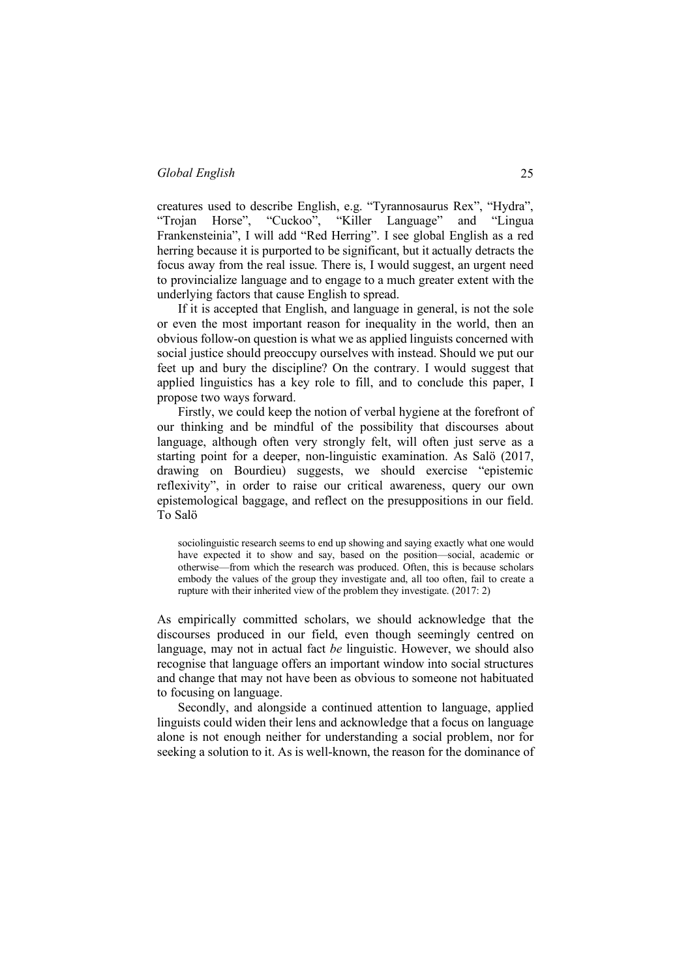creatures used to describe English, e.g. "Tyrannosaurus Rex", "Hydra", "Trojan Horse", "Cuckoo", "Killer Language" Frankensteinia", I will add "Red Herring". I see global English as a red herring because it is purported to be significant, but it actually detracts the focus away from the real issue. There is, I would suggest, an urgent need to provincialize language and to engage to a much greater extent with the underlying factors that cause English to spread.

If it is accepted that English, and language in general, is not the sole or even the most important reason for inequality in the world, then an obvious follow-on question is what we as applied linguists concerned with social justice should preoccupy ourselves with instead. Should we put our feet up and bury the discipline? On the contrary. I would suggest that applied linguistics has a key role to fill, and to conclude this paper, I propose two ways forward.

Firstly, we could keep the notion of verbal hygiene at the forefront of our thinking and be mindful of the possibility that discourses about language, although often very strongly felt, will often just serve as a starting point for a deeper, non-linguistic examination. As Salö (2017, drawing on Bourdieu) suggests, we should exercise "epistemic reflexivity", in order to raise our critical awareness, query our own epistemological baggage, and reflect on the presuppositions in our field. To Salö

sociolinguistic research seems to end up showing and saying exactly what one would have expected it to show and say, based on the position—social, academic or otherwise—from which the research was produced. Often, this is because scholars embody the values of the group they investigate and, all too often, fail to create a rupture with their inherited view of the problem they investigate. (2017: 2)

As empirically committed scholars, we should acknowledge that the discourses produced in our field, even though seemingly centred on language, may not in actual fact *be* linguistic. However, we should also recognise that language offers an important window into social structures and change that may not have been as obvious to someone not habituated to focusing on language.

Secondly, and alongside a continued attention to language, applied linguists could widen their lens and acknowledge that a focus on language alone is not enough neither for understanding a social problem, nor for seeking a solution to it. As is well-known, the reason for the dominance of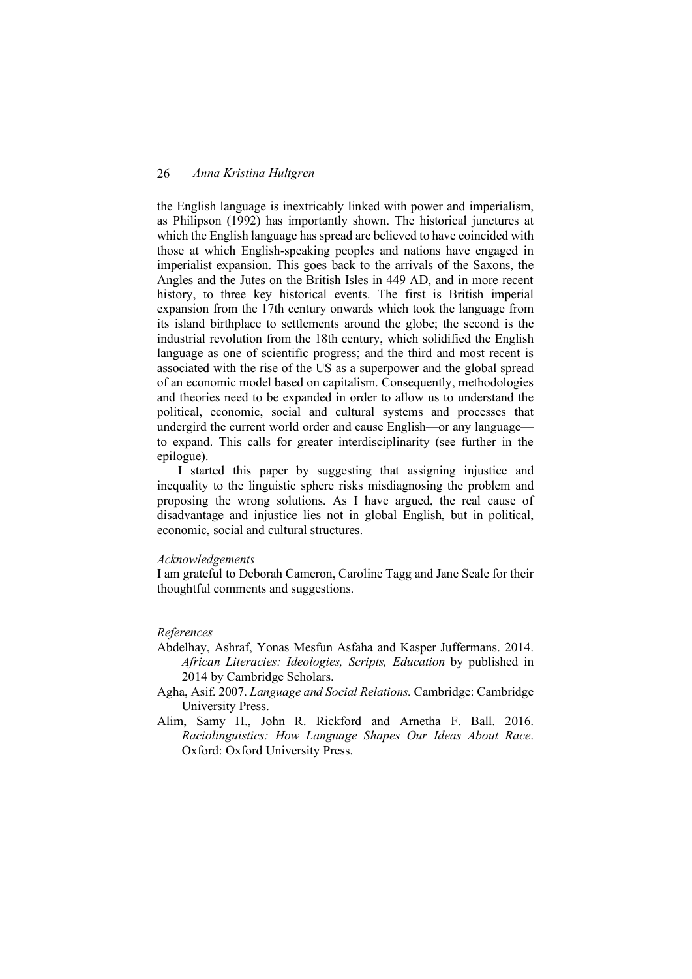the English language is inextricably linked with power and imperialism, as Philipson (1992) has importantly shown. The historical junctures at which the English language has spread are believed to have coincided with those at which English-speaking peoples and nations have engaged in imperialist expansion. This goes back to the arrivals of the Saxons, the Angles and the Jutes on the British Isles in 449 AD, and in more recent history, to three key historical events. The first is British imperial expansion from the 17th century onwards which took the language from its island birthplace to settlements around the globe; the second is the industrial revolution from the 18th century, which solidified the English language as one of scientific progress; and the third and most recent is associated with the rise of the US as a superpower and the global spread of an economic model based on capitalism. Consequently, methodologies and theories need to be expanded in order to allow us to understand the political, economic, social and cultural systems and processes that undergird the current world order and cause English—or any language to expand. This calls for greater interdisciplinarity (see further in the epilogue).

I started this paper by suggesting that assigning injustice and inequality to the linguistic sphere risks misdiagnosing the problem and proposing the wrong solutions. As I have argued, the real cause of disadvantage and injustice lies not in global English, but in political, economic, social and cultural structures.

#### *Acknowledgements*

I am grateful to Deborah Cameron, Caroline Tagg and Jane Seale for their thoughtful comments and suggestions.

#### *References*

- Abdelhay, Ashraf, Yonas Mesfun Asfaha and Kasper Juffermans. 2014. *African Literacies: Ideologies, Scripts, Education* by published in 2014 by Cambridge Scholars.
- Agha, Asif. 2007. *Language and Social Relations.* Cambridge: Cambridge University Press.
- Alim, Samy H., John R. Rickford and Arnetha F. Ball. 2016. *Raciolinguistics: How Language Shapes Our Ideas About Race*. Oxford: Oxford University Press.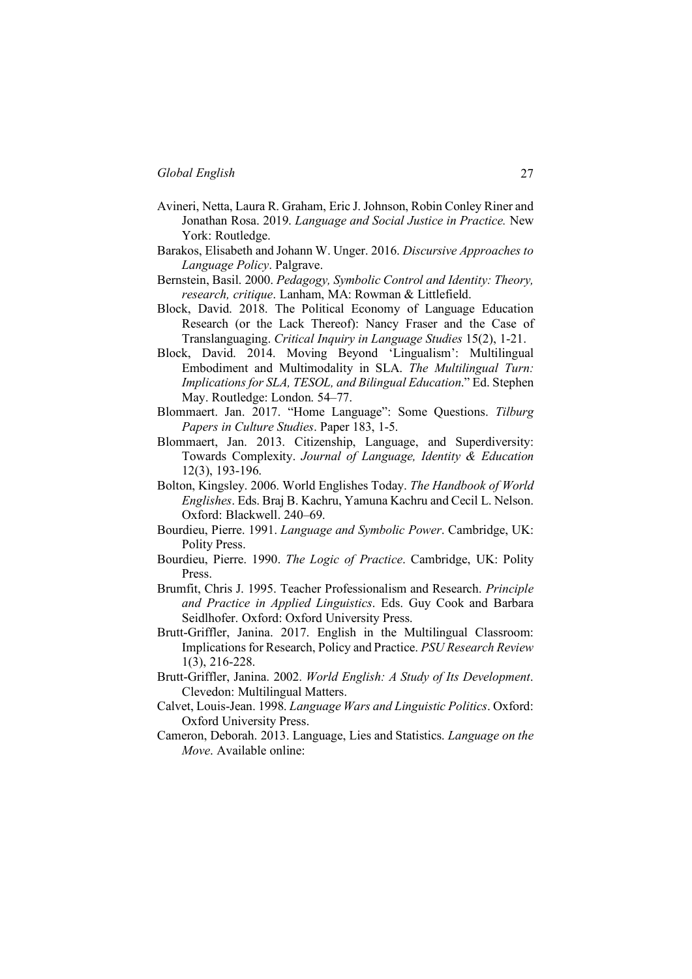- Avineri, Netta, Laura R. Graham, Eric J. Johnson, Robin Conley Riner and Jonathan Rosa. 2019. *Language and Social Justice in Practice.* New York: Routledge.
- Barakos, Elisabeth and Johann W. Unger. 2016. *Discursive Approaches to Language Policy*. Palgrave.
- Bernstein, Basil. 2000. *Pedagogy, Symbolic Control and Identity: Theory, research, critique*. Lanham, MA: Rowman & Littlefield.
- Block, David. 2018. The Political Economy of Language Education Research (or the Lack Thereof): Nancy Fraser and the Case of Translanguaging. *Critical Inquiry in Language Studies* 15(2), 1-21.
- Block, David. 2014. Moving Beyond 'Lingualism': Multilingual Embodiment and Multimodality in SLA. *The Multilingual Turn: Implications for SLA, TESOL, and Bilingual Education*." Ed. Stephen May. Routledge: London. 54–77.
- Blommaert. Jan. 2017. "Home Language": Some Questions. *Tilburg Papers in Culture Studies*. Paper 183, 1-5.
- Blommaert, Jan. 2013. Citizenship, Language, and Superdiversity: Towards Complexity. *Journal of Language, Identity & Education* 12(3), 193-196.
- Bolton, Kingsley. 2006. World Englishes Today. *The Handbook of World Englishes*. Eds. Braj B. Kachru, Yamuna Kachru and Cecil L. Nelson. Oxford: Blackwell. 240–69.
- Bourdieu, Pierre. 1991. *Language and Symbolic Power*. Cambridge, UK: Polity Press.
- Bourdieu, Pierre. 1990. *The Logic of Practice*. Cambridge, UK: Polity Press.
- Brumfit, Chris J. 1995. Teacher Professionalism and Research. *Principle and Practice in Applied Linguistics*. Eds. Guy Cook and Barbara Seidlhofer. Oxford: Oxford University Press.
- Brutt-Griffler, Janina. 2017. English in the Multilingual Classroom: Implications for Research, Policy and Practice. *PSU Research Review* 1(3), 216-228.
- Brutt-Griffler, Janina. 2002. *World English: A Study of Its Development*. Clevedon: Multilingual Matters.
- Calvet, Louis-Jean. 1998. *Language Wars and Linguistic Politics*. Oxford: Oxford University Press.
- Cameron, Deborah. 2013. Language, Lies and Statistics. *Language on the Move*. Available online: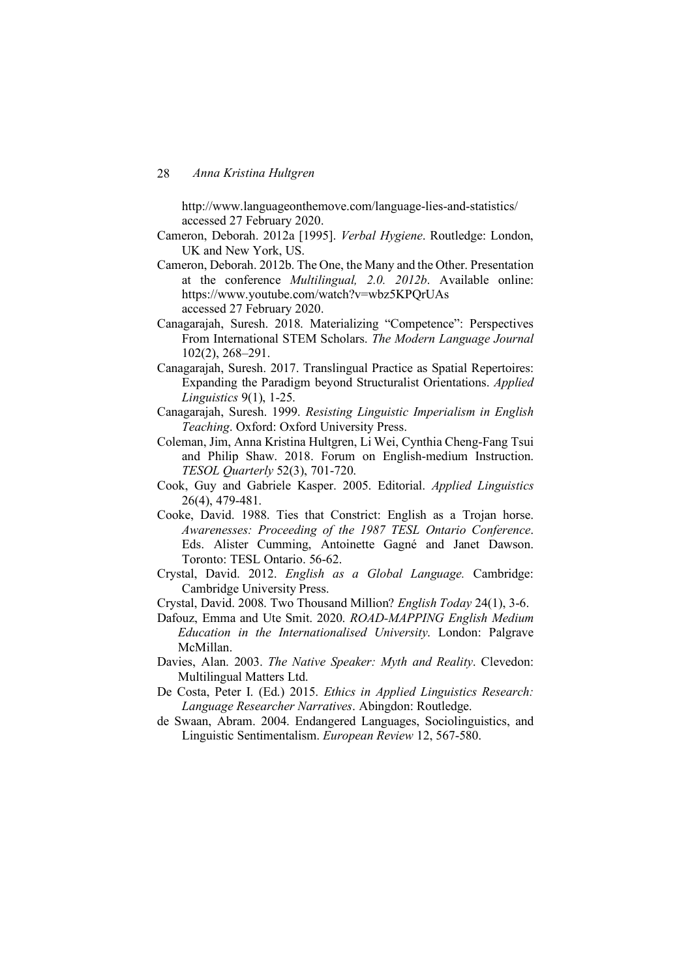http://www.languageonthemove.com/language-lies-and-statistics/ accessed 27 February 2020.

- Cameron, Deborah. 2012a [1995]. *Verbal Hygiene*. Routledge: London, UK and New York, US.
- Cameron, Deborah. 2012b. The One, the Many and the Other. Presentation at the conference *Multilingual, 2.0. 2012b*. Available online: https://www.youtube.com/watch?v=wbz5KPQrUAs accessed 27 February 2020.
- Canagarajah, Suresh. 2018. Materializing "Competence": Perspectives From International STEM Scholars. *The Modern Language Journal* 102(2), 268–291.
- Canagarajah, Suresh. 2017. Translingual Practice as Spatial Repertoires: Expanding the Paradigm beyond Structuralist Orientations. *Applied Linguistics* 9(1), 1-25.
- Canagarajah, Suresh. 1999. *Resisting Linguistic Imperialism in English Teaching*. Oxford: Oxford University Press.
- Coleman, Jim, Anna Kristina Hultgren, Li Wei, Cynthia Cheng-Fang Tsui and Philip Shaw. 2018. Forum on English-medium Instruction. *TESOL Quarterly* 52(3), 701-720.
- Cook, Guy and Gabriele Kasper. 2005. Editorial. *Applied Linguistics* 26(4), 479-481.
- Cooke, David. 1988. Ties that Constrict: English as a Trojan horse. *Awarenesses: Proceeding of the 1987 TESL Ontario Conference*. Eds. Alister Cumming, Antoinette Gagné and Janet Dawson. Toronto: TESL Ontario. 56-62.
- Crystal, David. 2012. *English as a Global Language.* Cambridge: Cambridge University Press.
- Crystal, David. 2008. Two Thousand Million? *English Today* 24(1), 3-6.
- Dafouz, Emma and Ute Smit. 2020. *ROAD-MAPPING English Medium Education in the Internationalised University*. London: Palgrave McMillan.
- Davies, Alan. 2003. *The Native Speaker: Myth and Reality*. Clevedon: Multilingual Matters Ltd.
- De Costa, Peter I. (Ed.) 2015. *Ethics in Applied Linguistics Research: Language Researcher Narratives*. Abingdon: Routledge.
- de Swaan, Abram. 2004. Endangered Languages, Sociolinguistics, and Linguistic Sentimentalism. *European Review* 12, 567-580.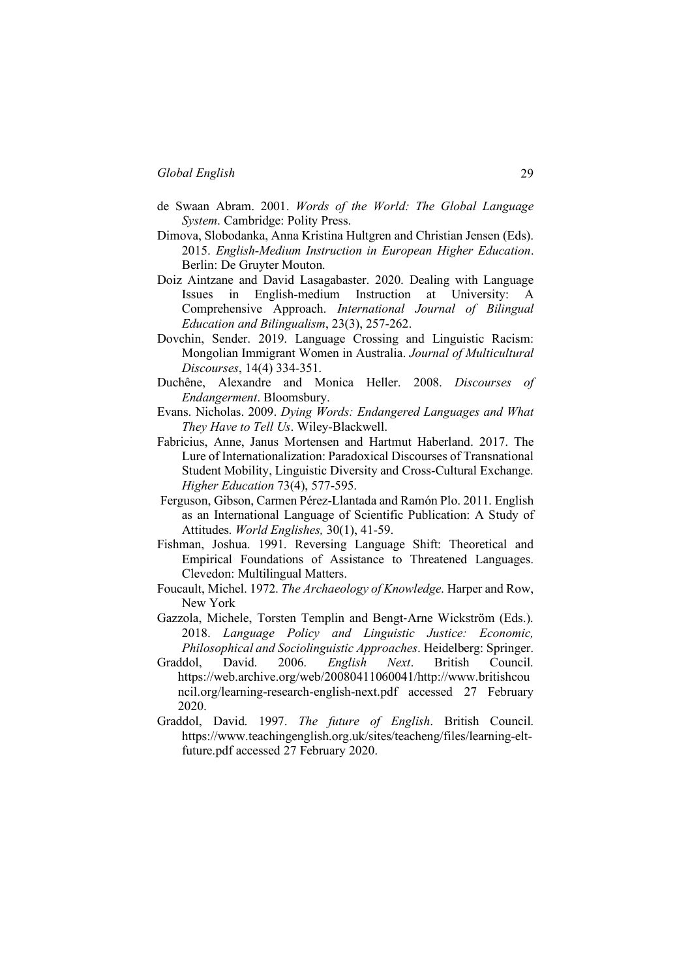- de Swaan Abram. 2001. *Words of the World: The Global Language System*. Cambridge: Polity Press.
- Dimova, Slobodanka, Anna Kristina Hultgren and Christian Jensen (Eds). 2015. *English-Medium Instruction in European Higher Education*. Berlin: De Gruyter Mouton.
- Doiz Aintzane and David Lasagabaster. 2020. Dealing with Language Issues in English-medium Instruction at University: A Comprehensive Approach. *International Journal of Bilingual Education and Bilingualism*, 23(3), 257-262.
- Dovchin, Sender. 2019. Language Crossing and Linguistic Racism: Mongolian Immigrant Women in Australia. *Journal of Multicultural Discourses*, 14(4) 334-351.
- Duchêne, Alexandre and Monica Heller. 2008. *Discourses of Endangerment*. Bloomsbury.
- Evans. Nicholas. 2009. *Dying Words: Endangered Languages and What They Have to Tell Us*. Wiley-Blackwell.
- Fabricius, Anne, Janus Mortensen and Hartmut Haberland. 2017. The Lure of Internationalization: Paradoxical Discourses of Transnational Student Mobility, Linguistic Diversity and Cross-Cultural Exchange. *Higher Education* 73(4), 577-595.
- Ferguson, Gibson, Carmen Pérez-Llantada and Ramón Plo. 2011. English as an International Language of Scientific Publication: A Study of Attitudes. *World Englishes,* 30(1), 41-59.
- Fishman, Joshua. 1991. Reversing Language Shift: Theoretical and Empirical Foundations of Assistance to Threatened Languages. Clevedon: Multilingual Matters.
- Foucault, Michel. 1972. *The Archaeology of Knowledge*. Harper and Row, New York
- Gazzola, Michele, Torsten Templin and Bengt-Arne Wickström (Eds.). 2018. *Language Policy and Linguistic Justice: Economic, Philosophical and Sociolinguistic Approaches*. Heidelberg: Springer.
- Graddol, David. 2006. *English Next*. British Council. https://web.archive.org/web/20080411060041/http://www.britishcou ncil.org/learning-research-english-next.pdf accessed 27 February 2020.
- Graddol, David. 1997. *The future of English*. British Council. https://www.teachingenglish.org.uk/sites/teacheng/files/learning-eltfuture.pdf accessed 27 February 2020.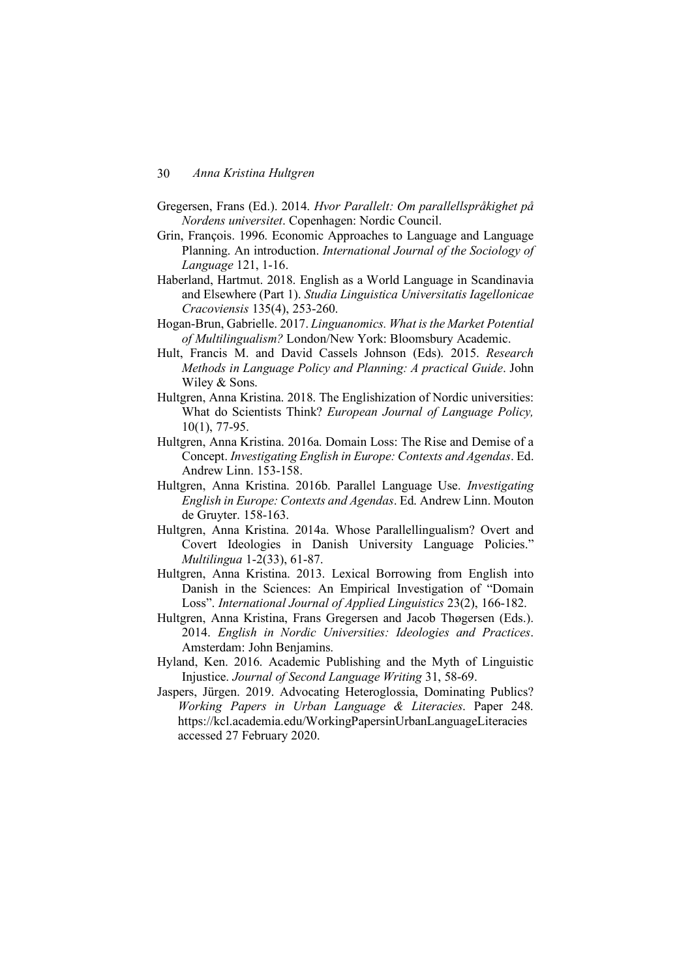- Gregersen, Frans (Ed.). 2014. *Hvor Parallelt: Om parallellspråkighet på Nordens universitet*. Copenhagen: Nordic Council.
- Grin, François. 1996. Economic Approaches to Language and Language Planning. An introduction. *International Journal of the Sociology of Language* 121, 1-16.
- Haberland, Hartmut. 2018. English as a World Language in Scandinavia and Elsewhere (Part 1). *Studia Linguistica Universitatis Iagellonicae Cracoviensis* 135(4), 253-260.
- Hogan-Brun, Gabrielle. 2017. *Linguanomics. What is the Market Potential of Multilingualism?* London/New York: Bloomsbury Academic.
- Hult, Francis M. and David Cassels Johnson (Eds). 2015. *Research Methods in Language Policy and Planning: A practical Guide*. John Wiley & Sons.
- Hultgren, Anna Kristina. 2018. The Englishization of Nordic universities: What do Scientists Think? *European Journal of Language Policy,* 10(1), 77-95.
- Hultgren, Anna Kristina. 2016a. Domain Loss: The Rise and Demise of a Concept. *Investigating English in Europe: Contexts and Agendas*. Ed. Andrew Linn. 153-158.
- Hultgren, Anna Kristina. 2016b. Parallel Language Use. *Investigating English in Europe: Contexts and Agendas*. Ed. Andrew Linn. Mouton de Gruyter. 158-163.
- Hultgren, Anna Kristina. 2014a. Whose Parallellingualism? Overt and Covert Ideologies in Danish University Language Policies." *Multilingua* 1-2(33), 61-87.
- Hultgren, Anna Kristina. 2013. Lexical Borrowing from English into Danish in the Sciences: An Empirical Investigation of "Domain Loss". *International Journal of Applied Linguistics* 23(2), 166-182.
- Hultgren, Anna Kristina, Frans Gregersen and Jacob Thøgersen (Eds.). 2014. *English in Nordic Universities: Ideologies and Practices*. Amsterdam: John Benjamins.
- Hyland, Ken. 2016. Academic Publishing and the Myth of Linguistic Injustice. *Journal of Second Language Writing* 31, 58-69.
- Jaspers, Jürgen. 2019. Advocating Heteroglossia, Dominating Publics? *Working Papers in Urban Language & Literacies*. Paper 248. https://kcl.academia.edu/WorkingPapersinUrbanLanguageLiteracies accessed 27 February 2020.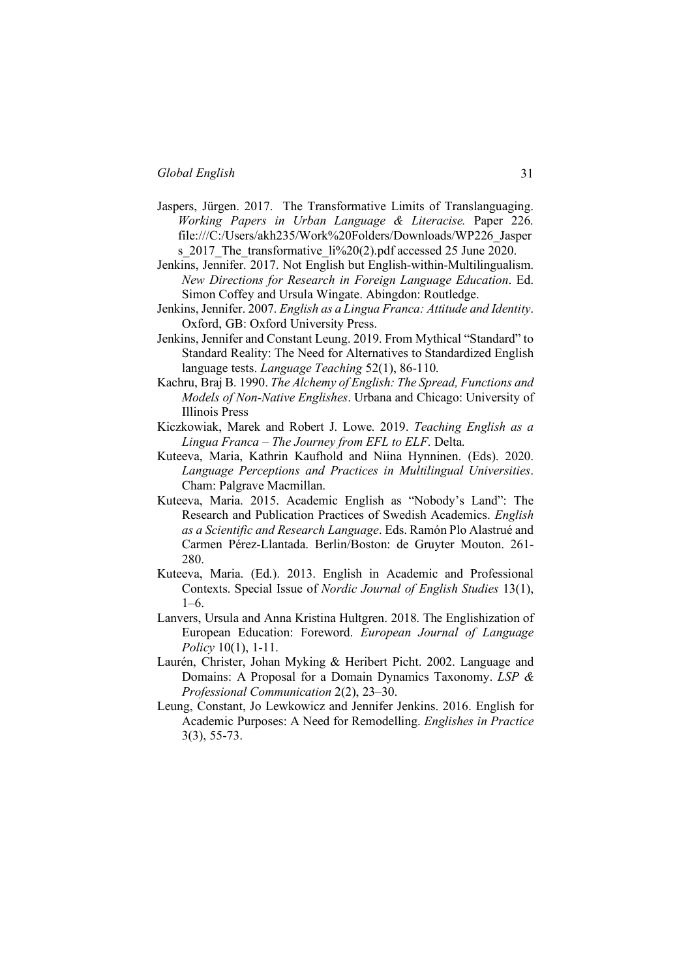- Jaspers, Jürgen. 2017. The Transformative Limits of Translanguaging. *Working Papers in Urban Language & Literacise.* Paper 226. file:///C:/Users/akh235/Work%20Folders/Downloads/WP226\_Jasper s 2017 The transformative li%20(2).pdf accessed 25 June 2020.
- Jenkins, Jennifer. 2017. Not English but English-within-Multilingualism. *New Directions for Research in Foreign Language Education*. Ed. Simon Coffey and Ursula Wingate. Abingdon: Routledge.
- Jenkins, Jennifer. 2007. *English as a Lingua Franca: Attitude and Identity*. Oxford, GB: Oxford University Press.
- Jenkins, Jennifer and Constant Leung. 2019. From Mythical "Standard" to Standard Reality: The Need for Alternatives to Standardized English language tests. *Language Teaching* 52(1), 86-110.
- Kachru, Braj B. 1990. *The Alchemy of English: The Spread, Functions and Models of Non-Native Englishes*. Urbana and Chicago: University of Illinois Press
- Kiczkowiak, Marek and Robert J. Lowe. 2019. *Teaching English as a Lingua Franca – The Journey from EFL to ELF*. Delta.
- Kuteeva, Maria, Kathrin Kaufhold and Niina Hynninen. (Eds). 2020. *Language Perceptions and Practices in Multilingual Universities*. Cham: Palgrave Macmillan.
- Kuteeva, Maria. 2015. Academic English as "Nobody's Land": The Research and Publication Practices of Swedish Academics. *English as a Scientific and Research Language*. Eds. Ramón Plo Alastrué and Carmen Pérez-Llantada. Berlin/Boston: de Gruyter Mouton. 261- 280.
- Kuteeva, Maria. (Ed.). 2013. English in Academic and Professional Contexts. Special Issue of *Nordic Journal of English Studies* 13(1), 1–6.
- Lanvers, Ursula and Anna Kristina Hultgren. 2018. The Englishization of European Education: Foreword. *European Journal of Language Policy* 10(1), 1-11.
- Laurén, Christer, Johan Myking & Heribert Picht. 2002. Language and Domains: A Proposal for a Domain Dynamics Taxonomy. *LSP & Professional Communication* 2(2), 23–30.
- Leung, Constant, Jo Lewkowicz and Jennifer Jenkins. 2016. English for Academic Purposes: A Need for Remodelling. *Englishes in Practice* 3(3), 55-73.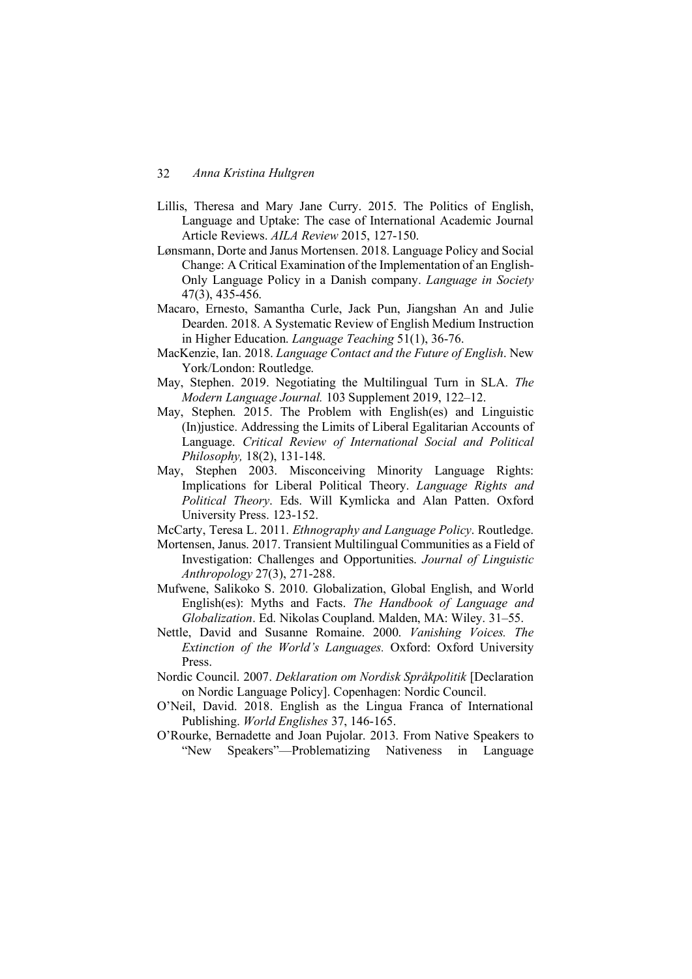- Lillis, Theresa and Mary Jane Curry. 2015. The Politics of English, Language and Uptake: The case of International Academic Journal Article Reviews. *AILA Review* 2015, 127-150.
- Lønsmann, Dorte and Janus Mortensen. 2018. Language Policy and Social Change: A Critical Examination of the Implementation of an English-Only Language Policy in a Danish company. *Language in Society* 47(3), 435-456.
- Macaro, Ernesto, Samantha Curle, Jack Pun, Jiangshan An and Julie Dearden. 2018. A Systematic Review of English Medium Instruction in Higher Education. *Language Teaching* 51(1), 36-76.
- MacKenzie, Ian. 2018. *Language Contact and the Future of English*. New York/London: Routledge.
- May, Stephen. 2019. Negotiating the Multilingual Turn in SLA. *The Modern Language Journal.* 103 Supplement 2019, 122–12.
- May, Stephen. 2015. The Problem with English(es) and Linguistic (In)justice. Addressing the Limits of Liberal Egalitarian Accounts of Language. *Critical Review of International Social and Political Philosophy,* 18(2), 131-148.
- May, Stephen 2003. Misconceiving Minority Language Rights: Implications for Liberal Political Theory. *Language Rights and Political Theory*. Eds. Will Kymlicka and Alan Patten. Oxford University Press. 123-152.
- McCarty, Teresa L. 2011. *Ethnography and Language Policy*. Routledge.
- Mortensen, Janus. 2017. Transient Multilingual Communities as a Field of Investigation: Challenges and Opportunities. *Journal of Linguistic Anthropology* 27(3), 271-288.
- Mufwene, Salikoko S. 2010. Globalization, Global English, and World English(es): Myths and Facts. *The Handbook of Language and Globalization*. Ed. Nikolas Coupland. Malden, MA: Wiley. 31–55.
- Nettle, David and Susanne Romaine. 2000. *Vanishing Voices. The Extinction of the World's Languages.* Oxford: Oxford University Press.
- Nordic Council. 2007. *Deklaration om Nordisk Språkpolitik* [Declaration on Nordic Language Policy]. Copenhagen: Nordic Council.
- O'Neil, David. 2018. English as the Lingua Franca of International Publishing. *World Englishes* 37, 146-165.
- O'Rourke, Bernadette and Joan Pujolar. 2013. From Native Speakers to "New Speakers"—Problematizing Nativeness in Language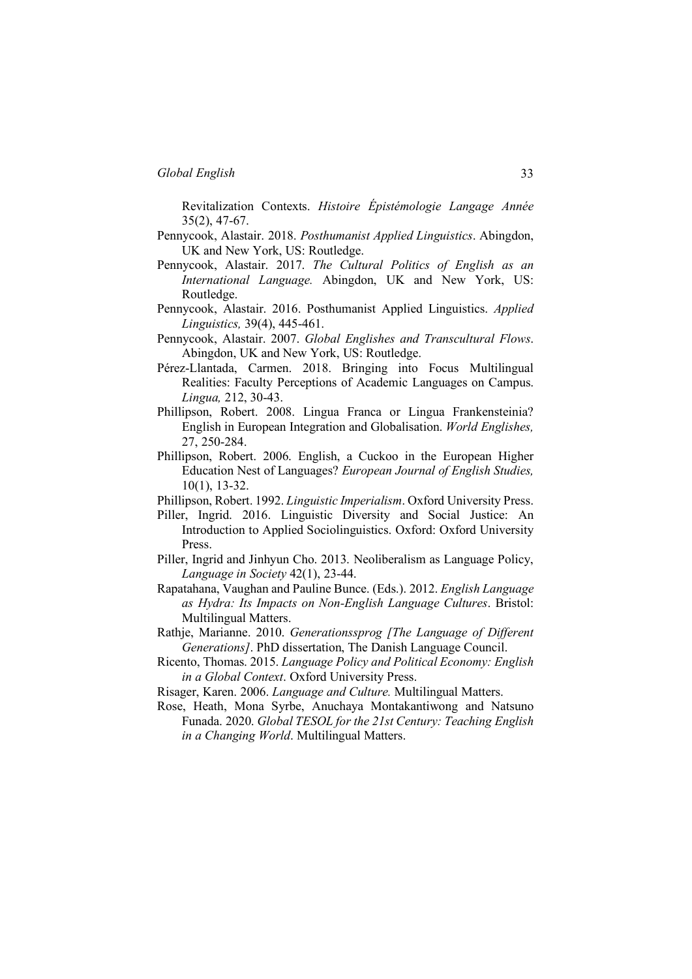Revitalization Contexts. *Histoire Épistémologie Langage Année* 35(2), 47-67.

- Pennycook, Alastair. 2018. *Posthumanist Applied Linguistics*. Abingdon, UK and New York, US: Routledge.
- Pennycook, Alastair. 2017. *The Cultural Politics of English as an International Language.* Abingdon, UK and New York, US: Routledge.
- Pennycook, Alastair. 2016. Posthumanist Applied Linguistics. *Applied Linguistics,* 39(4), 445-461.
- Pennycook, Alastair. 2007. *Global Englishes and Transcultural Flows*. Abingdon, UK and New York, US: Routledge.
- Pérez-Llantada, Carmen. 2018. Bringing into Focus Multilingual Realities: Faculty Perceptions of Academic Languages on Campus. *Lingua,* 212, 30-43.
- Phillipson, Robert. 2008. Lingua Franca or Lingua Frankensteinia? English in European Integration and Globalisation. *World Englishes,* 27, 250-284.
- Phillipson, Robert. 2006. English, a Cuckoo in the European Higher Education Nest of Languages? *European Journal of English Studies,* 10(1), 13-32.
- Phillipson, Robert. 1992. *Linguistic Imperialism*. Oxford University Press.
- Piller, Ingrid. 2016. Linguistic Diversity and Social Justice: An Introduction to Applied Sociolinguistics. Oxford: Oxford University Press.
- Piller, Ingrid and Jinhyun Cho. 2013. Neoliberalism as Language Policy, *Language in Society* 42(1), 23-44.
- Rapatahana, Vaughan and Pauline Bunce. (Eds.). 2012. *English Language as Hydra: Its Impacts on Non-English Language Cultures*. Bristol: Multilingual Matters.
- Rathje, Marianne. 2010. *Generationssprog [The Language of Different Generations]*. PhD dissertation, The Danish Language Council.
- Ricento, Thomas. 2015. *Language Policy and Political Economy: English in a Global Context*. Oxford University Press.
- Risager, Karen. 2006. *Language and Culture.* Multilingual Matters.
- Rose, Heath, Mona Syrbe, Anuchaya Montakantiwong and Natsuno Funada. 2020. *Global TESOL for the 21st Century: Teaching English in a Changing World*. Multilingual Matters.